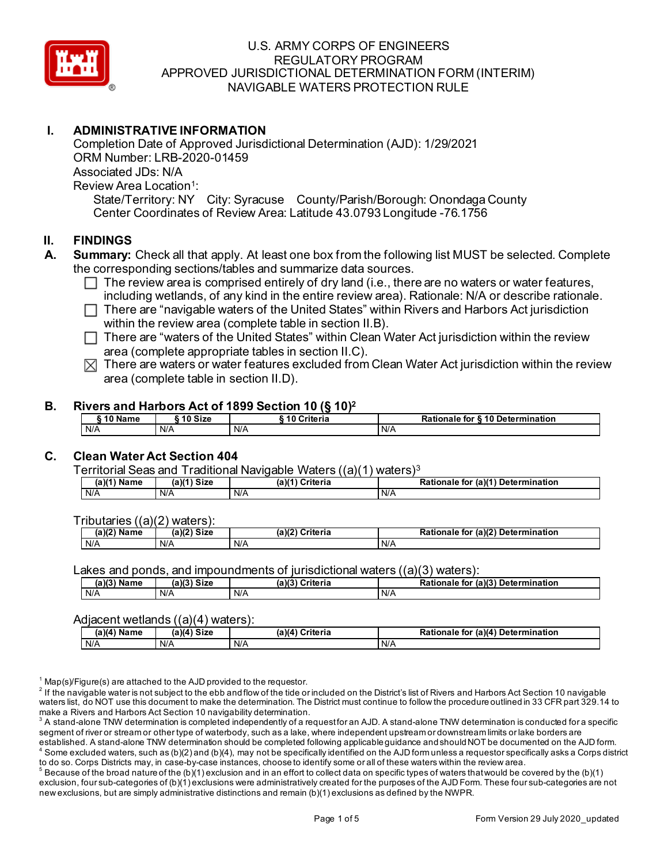

# **I. ADMINISTRATIVE INFORMATION**

Completion Date of Approved Jurisdictional Determination (AJD): 1/29/2021 ORM Number: LRB-2020-01459 Associated JDs: N/A Review Area Location<sup>1</sup>: State/Territory: NY City: Syracuse County/Parish/Borough: Onondaga County Center Coordinates of Review Area: Latitude 43.0793 Longitude -76.1756

# **II. FINDINGS**

- **A. Summary:** Check all that apply. At least one box from the following list MUST be selected. Complete the corresponding sections/tables and summarize data sources.
	- $\Box$  The review area is comprised entirely of dry land (i.e., there are no waters or water features, including wetlands, of any kind in the entire review area). Rationale: N/A or describe rationale.
	- $\Box$  There are "navigable waters of the United States" within Rivers and Harbors Act jurisdiction within the review area (complete table in section II.B).
	- $\Box$  There are "waters of the United States" within Clean Water Act jurisdiction within the review area (complete appropriate tables in section II.C).
	- $\boxtimes$  There are waters or water features excluded from Clean Water Act jurisdiction within the review area (complete table in section II.D).

## **B. Rivers and Harbors Act of 1899 Section 10 (§ 10)2**

| `10 Name | 10 Size | ` 10 Criteria | Rationale for § 10 Determination |
|----------|---------|---------------|----------------------------------|
| N/A      | N/A     | N/A           | N/A                              |

# **C. Clean Water Act Section 404**

Territorial Seas and Traditional Navigable Waters ((a)(1) waters)3

| (a)(1)<br>Name | $(a)(1)$ Size | a)(1)<br>$\sim$ $\sim$ $\sim$ $\sim$<br>criteria<br>ιc | Rationale<br>(a)(1) Detern<br>mination<br>tor |
|----------------|---------------|--------------------------------------------------------|-----------------------------------------------|
| N/A            | N/A           | N/A                                                    | N/A                                           |

Tributaries ((a)(2) waters):

| $\sim$ 1/2<br>. .<br>Name<br>1C.<br>" | (a)(2)<br><b>Size</b> | (a)(2)<br>`riteria | (a)(2) Determination<br>ъ.<br>Rationale<br>ΤO |
|---------------------------------------|-----------------------|--------------------|-----------------------------------------------|
| N/A                                   | N/A                   | N/A                | N/A                                           |

Lakes and ponds, and impoundments of jurisdictional waters  $((a)(3)$  waters):

| $(a)(3)$ Name | <b>Size</b><br>(a)(? | (a)(3)<br><b>≏riteria</b> | $(2)$ (a)(3)<br>Determination<br>Rationale<br>for |
|---------------|----------------------|---------------------------|---------------------------------------------------|
| N/A           | N/A                  | N/A                       | N/A                                               |

### Adjacent wetlands ((a)(4) waters):

| (a)(4) <sup>⊾</sup><br>Name | Size<br>(a)(4 | (a)(4)<br>Criteria | (a)(4)<br><b>Determination</b><br>Rationale<br>tor |
|-----------------------------|---------------|--------------------|----------------------------------------------------|
| N/A                         | N/A           | N/A                | N/A                                                |

 $1$  Map(s)/Figure(s) are attached to the AJD provided to the requestor.

<sup>2</sup> If the navigable water is not subject to the ebb and flow of the tide or included on the District's list of Rivers and Harbors Act Section 10 navigable waters list, do NOT use this document to make the determination. The District must continue to follow the procedure outlined in 33 CFR part 329.14 to make a Rivers and Harbors Act Section 10 navigability determination.

<sup>3</sup> A stand-alone TNW determination is completed independently of a request for an AJD. A stand-alone TNW determination is conducted for a specific segment of river or stream or other type of waterbody, such as a lake, where independent upstream or downstream limits or lake borders are established. A stand-alone TNW determination should be completed following applicable guidance and should NOT be documented on the AJD form.

 $^4$  Some excluded waters, such as (b)(2) and (b)(4), may not be specifically identified on the AJD form unless a requestor specifically asks a Corps district to do so. Corps Districts may, in case-by-case instances, choose to identify some or all of these waters within the review area.

 $^5$  Because of the broad nature of the (b)(1) exclusion and in an effort to collect data on specific types of waters that would be covered by the (b)(1) exclusion, four sub-categories of (b)(1) exclusions were administratively created for the purposes of the AJD Form. These four sub-categories are not new exclusions, but are simply administrative distinctions and remain (b)(1) exclusions as defined by the NWPR.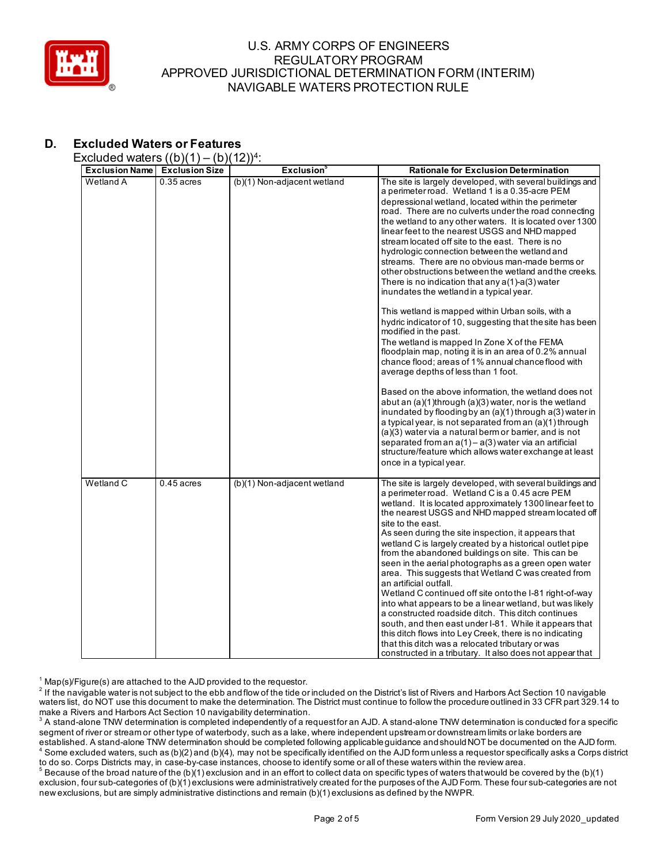

# **D. Excluded Waters or Features**

### Excluded waters  $((h)(1) - (h)(12))^{4}$

| <b>Exclusion Name</b> | $\sqrt{2}$<br><b>Exclusion Size</b> | $\cdot$ – $\prime\prime$ $\cdot$<br><b>Exclusion</b> <sup>3</sup> | <b>Rationale for Exclusion Determination</b>                                                                                                                                                                                                                                                                                                                                                                                                                                                                                                                                                                                                                                                                                                                                                                                                                                                                                                                                                                                                                                                                                                                                                                                                                                                                                                                                                                                                                         |
|-----------------------|-------------------------------------|-------------------------------------------------------------------|----------------------------------------------------------------------------------------------------------------------------------------------------------------------------------------------------------------------------------------------------------------------------------------------------------------------------------------------------------------------------------------------------------------------------------------------------------------------------------------------------------------------------------------------------------------------------------------------------------------------------------------------------------------------------------------------------------------------------------------------------------------------------------------------------------------------------------------------------------------------------------------------------------------------------------------------------------------------------------------------------------------------------------------------------------------------------------------------------------------------------------------------------------------------------------------------------------------------------------------------------------------------------------------------------------------------------------------------------------------------------------------------------------------------------------------------------------------------|
| Wetland A             | $0.35$ acres                        | (b)(1) Non-adjacent wetland                                       | The site is largely developed, with several buildings and<br>a perimeter road. Wetland 1 is a 0.35-acre PEM<br>depressional wetland, located within the perimeter<br>road. There are no culverts under the road connecting<br>the wetland to any other waters. It is located over 1300<br>linear feet to the nearest USGS and NHD mapped<br>stream located off site to the east. There is no<br>hydrologic connection between the wetland and<br>streams. There are no obvious man-made berms or<br>other obstructions between the wetland and the creeks.<br>There is no indication that any $a(1)$ -a(3) water<br>inundates the wetland in a typical year.<br>This wetland is mapped within Urban soils, with a<br>hydric indicator of 10, suggesting that the site has been<br>modified in the past.<br>The wetland is mapped In Zone X of the FEMA<br>floodplain map, noting it is in an area of 0.2% annual<br>chance flood: areas of 1% annual chance flood with<br>average depths of less than 1 foot.<br>Based on the above information, the wetland does not<br>abut an (a)(1)through (a)(3) water, nor is the wetland<br>inundated by flooding by an $(a)(1)$ through $a(3)$ water in<br>a typical year, is not separated from an (a)(1) through<br>(a)(3) water via a natural berm or barrier, and is not<br>separated from an $a(1) - a(3)$ water via an artificial<br>structure/feature which allows water exchange at least<br>once in a typical year. |
| Wetland C             | $0.45$ acres                        | (b)(1) Non-adjacent wetland                                       | The site is largely developed, with several buildings and<br>a perimeter road. Wetland C is a 0.45 acre PEM<br>wetland. It is located approximately 1300 linear feet to<br>the nearest USGS and NHD mapped stream located off<br>site to the east.<br>As seen during the site inspection, it appears that<br>wetland C is largely created by a historical outlet pipe<br>from the abandoned buildings on site. This can be<br>seen in the aerial photographs as a green open water<br>area. This suggests that Wetland C was created from<br>an artificial outfall.<br>Wetland C continued off site onto the I-81 right-of-way<br>into what appears to be a linear wetland, but was likely<br>a constructed roadside ditch. This ditch continues<br>south, and then east under I-81. While it appears that<br>this ditch flows into Ley Creek, there is no indicating<br>that this ditch was a relocated tributary or was<br>constructed in a tributary. It also does not appear that                                                                                                                                                                                                                                                                                                                                                                                                                                                                                |

 $1$  Map(s)/Figure(s) are attached to the AJD provided to the requestor.

 $^2$  If the navigable water is not subject to the ebb and flow of the tide or included on the District's list of Rivers and Harbors Act Section 10 navigable waters list, do NOT use this document to make the determination. The District must continue to follow the procedure outlined in 33 CFR part 329.14 to make a Rivers and Harbors Act Section 10 navigability determination.

 $^{\rm 3}$  A stand-alone TNW determination is completed independently of a request for an AJD. A stand-alone TNW determination is conducted for a specific segment of river or stream or other type of waterbody, such as a lake, where independent upstream or downstream limits or lake borders are established. A stand-alone TNW determination should be completed following applicable guidance and should NOT be documented on the AJD form.  $^4$  Some excluded waters, such as (b)(2) and (b)(4), may not be specifically identified on the AJD form unless a requestor specifically asks a Corps district

to do so. Corps Districts may, in case-by-case instances, choose to identify some or all of these waters within the review area.  $^5$  Because of the broad nature of the (b)(1) exclusion and in an effort to collect data on specific types of waters that would be covered by the (b)(1) exclusion, four sub-categories of (b)(1) exclusions were administratively created for the purposes of the AJD Form. These four sub-categories are not new exclusions, but are simply administrative distinctions and remain (b)(1) exclusions as defined by the NWPR.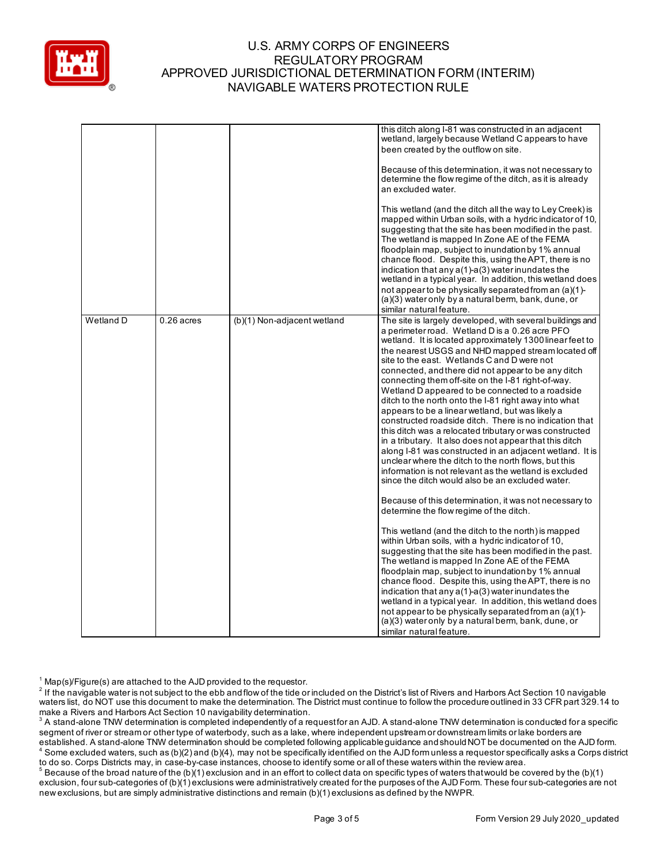

|           |              |                             | this ditch along I-81 was constructed in an adjacent<br>wetland, largely because Wetland C appears to have<br>been created by the outflow on site.<br>Because of this determination, it was not necessary to<br>determine the flow regime of the ditch, as it is already<br>an excluded water.<br>This wetland (and the ditch all the way to Ley Creek) is<br>mapped within Urban soils, with a hydric indicator of 10,<br>suggesting that the site has been modified in the past.<br>The wetland is mapped In Zone AE of the FEMA<br>floodplain map, subject to inundation by 1% annual<br>chance flood. Despite this, using the APT, there is no<br>indication that any a(1)-a(3) water inundates the<br>wetland in a typical year. In addition, this wetland does<br>not appear to be physically separated from an (a)(1)-<br>(a)(3) water only by a natural berm, bank, dune, or<br>similar natural feature.                                                                                                                                                                                                                                                                                                                                                                                                                                                                                                                                                                                                                                                                                                                                                                         |
|-----------|--------------|-----------------------------|------------------------------------------------------------------------------------------------------------------------------------------------------------------------------------------------------------------------------------------------------------------------------------------------------------------------------------------------------------------------------------------------------------------------------------------------------------------------------------------------------------------------------------------------------------------------------------------------------------------------------------------------------------------------------------------------------------------------------------------------------------------------------------------------------------------------------------------------------------------------------------------------------------------------------------------------------------------------------------------------------------------------------------------------------------------------------------------------------------------------------------------------------------------------------------------------------------------------------------------------------------------------------------------------------------------------------------------------------------------------------------------------------------------------------------------------------------------------------------------------------------------------------------------------------------------------------------------------------------------------------------------------------------------------------------------|
| Wetland D | $0.26$ acres | (b)(1) Non-adjacent wetland | The site is largely developed, with several buildings and<br>a perimeter road. Wetland D is a 0.26 acre PFO<br>wetland. It is located approximately 1300 linear feet to<br>the nearest USGS and NHD mapped stream located off<br>site to the east. Wetlands C and D were not<br>connected, and there did not appear to be any ditch<br>connecting them off-site on the I-81 right-of-way.<br>Wetland D appeared to be connected to a roadside<br>ditch to the north onto the I-81 right away into what<br>appears to be a linear wetland, but was likely a<br>constructed roadside ditch. There is no indication that<br>this ditch was a relocated tributary or was constructed<br>in a tributary. It also does not appear that this ditch<br>along I-81 was constructed in an adjacent wetland. It is<br>unclear where the ditch to the north flows, but this<br>information is not relevant as the wetland is excluded<br>since the ditch would also be an excluded water.<br>Because of this determination, it was not necessary to<br>determine the flow regime of the ditch.<br>This wetland (and the ditch to the north) is mapped<br>within Urban soils, with a hydric indicator of 10,<br>suggesting that the site has been modified in the past.<br>The wetland is mapped In Zone AE of the FEMA<br>floodplain map, subject to inundation by 1% annual<br>chance flood. Despite this, using the APT, there is no<br>indication that any a(1)-a(3) water inundates the<br>wetland in a typical year. In addition, this wetland does<br>not appear to be physically separated from an (a)(1)-<br>(a)(3) water only by a natural berm, bank, dune, or<br>similar natural feature. |

 $1$  Map(s)/Figure(s) are attached to the AJD provided to the requestor.

 $^2$  If the navigable water is not subject to the ebb and flow of the tide or included on the District's list of Rivers and Harbors Act Section 10 navigable waters list, do NOT use this document to make the determination. The District must continue to follow the procedure outlined in 33 CFR part 329.14 to make a Rivers and Harbors Act Section 10 navigability determination.

 $^{\rm 3}$  A stand-alone TNW determination is completed independently of a request for an AJD. A stand-alone TNW determination is conducted for a specific segment of river or stream or other type of waterbody, such as a lake, where independent upstream or downstream limits or lake borders are established. A stand-alone TNW determination should be completed following applicable guidance and should NOT be documented on the AJD form.  $^4$  Some excluded waters, such as (b)(2) and (b)(4), may not be specifically identified on the AJD form unless a requestor specifically asks a Corps district

to do so. Corps Districts may, in case-by-case instances, choose to identify some or all of these waters within the review area.  $^5$  Because of the broad nature of the (b)(1) exclusion and in an effort to collect data on specific types of waters that would be covered by the (b)(1) exclusion, four sub-categories of (b)(1) exclusions were administratively created for the purposes of the AJD Form. These four sub-categories are not new exclusions, but are simply administrative distinctions and remain (b)(1) exclusions as defined by the NWPR.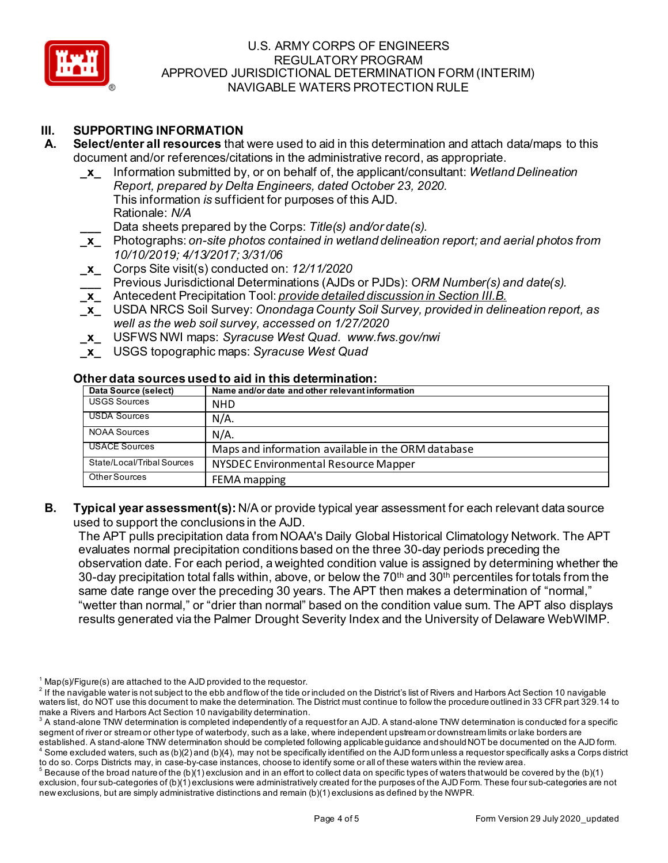

# **III. SUPPORTING INFORMATION**

- **A. Select/enter all resources** that were used to aid in this determination and attach data/maps to this document and/or references/citations in the administrative record, as appropriate.
	- **\_x\_** Information submitted by, or on behalf of, the applicant/consultant: *Wetland Delineation Report, prepared by Delta Engineers, dated October 23, 2020.* This information *is* sufficient for purposes of this AJD.
		- Rationale: *N/A*
		- **\_\_\_** Data sheets prepared by the Corps: *Title(s) and/or date(s).*
	- **\_x\_** Photographs: *on-site photos contained in wetland delineation report; and aerial photos from 10/10/2019; 4/13/2017; 3/31/06*
	- **\_x\_** Corps Site visit(s) conducted on: *12/11/2020*
	- **\_\_\_** Previous Jurisdictional Determinations (AJDs or PJDs): *ORM Number(s) and date(s).* **\_x\_** Antecedent Precipitation Tool: *provide detailed discussion in Section III.B.*
	- **\_x\_** USDA NRCS Soil Survey: *Onondaga County Soil Survey, provided in delineation report, as well as the web soil survey, accessed on 1/27/2020*
	- **\_x\_** USFWS NWI maps: *Syracuse West Quad. www.fws.gov/nwi*
	- **\_x\_** USGS topographic maps: *Syracuse West Quad*

# **Other data sources used to aid in this determination:**

| Data Source (select)       | Name and/or date and other relevant information    |
|----------------------------|----------------------------------------------------|
| <b>USGS Sources</b>        | <b>NHD</b>                                         |
| <b>USDA Sources</b>        | $N/A$ .                                            |
| <b>NOAA Sources</b>        | $N/A$ .                                            |
| <b>USACE Sources</b>       | Maps and information available in the ORM database |
| State/Local/Tribal Sources | NYSDEC Environmental Resource Mapper               |
| Other Sources              | FEMA mapping                                       |

**B. Typical year assessment(s):** N/A or provide typical year assessment for each relevant data source used to support the conclusions in the AJD.

The APT pulls precipitation data from NOAA's Daily Global Historical Climatology Network. The APT evaluates normal precipitation conditions based on the three 30-day periods preceding the observation date. For each period, a weighted condition value is assigned by determining whether the 30-day precipitation total falls within, above, or below the 70<sup>th</sup> and 30<sup>th</sup> percentiles for totals from the same date range over the preceding 30 years. The APT then makes a determination of "normal," "wetter than normal," or "drier than normal" based on the condition value sum. The APT also displays results generated via the Palmer Drought Severity Index and the University of Delaware WebWIMP.

 $1$  Map(s)/Figure(s) are attached to the AJD provided to the requestor.

 $^2$  If the navigable water is not subject to the ebb and flow of the tide or included on the District's list of Rivers and Harbors Act Section 10 navigable waters list, do NOT use this document to make the determination. The District must continue to follow the procedure outlined in 33 CFR part 329.14 to make a Rivers and Harbors Act Section 10 navigability determination.

 $^{\rm 3}$  A stand-alone TNW determination is completed independently of a request for an AJD. A stand-alone TNW determination is conducted for a specific segment of river or stream or other type of waterbody, such as a lake, where independent upstream or downstream limits or lake borders are

established. A stand-alone TNW determination should be completed following applicable guidance and should NOT be documented on the AJD form.  $^4$  Some excluded waters, such as (b)(2) and (b)(4), may not be specifically identified on the AJD form unless a requestor specifically asks a Corps district to do so. Corps Districts may, in case-by-case instances, choose to identify some or all of these waters within the review area.

 $^5$  Because of the broad nature of the (b)(1) exclusion and in an effort to collect data on specific types of waters that would be covered by the (b)(1) exclusion, four sub-categories of (b)(1) exclusions were administratively created for the purposes of the AJD Form. These four sub-categories are not new exclusions, but are simply administrative distinctions and remain (b)(1) exclusions as defined by the NWPR.